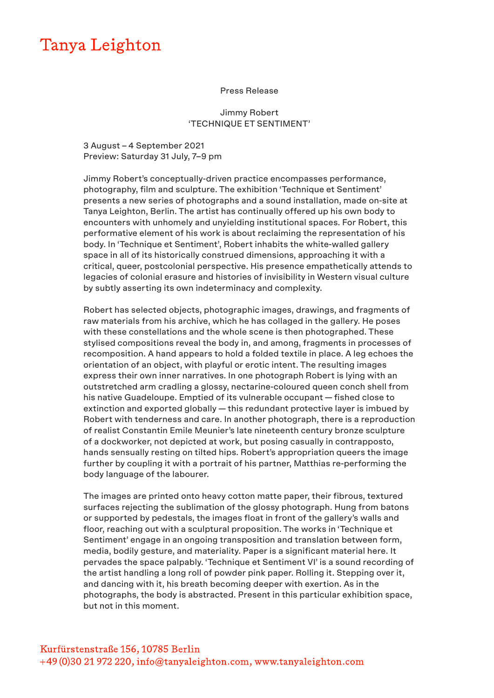## Tanya Leighton

## Press Release

Jimmy Robert 'TECHNIQUE ET SENTIMENT'

3 August – 4 September 2021 Preview: Saturday 31 July, 7–9 pm

Jimmy Robert's conceptually-driven practice encompasses performance, photography, film and sculpture. The exhibition 'Technique et Sentiment' presents a new series of photographs and a sound installation, made on-site at Tanya Leighton, Berlin. The artist has continually offered up his own body to encounters with unhomely and unyielding institutional spaces. For Robert, this performative element of his work is about reclaiming the representation of his body. In 'Technique et Sentiment', Robert inhabits the white-walled gallery space in all of its historically construed dimensions, approaching it with a critical, queer, postcolonial perspective. His presence empathetically attends to legacies of colonial erasure and histories of invisibility in Western visual culture by subtly asserting its own indeterminacy and complexity.

Robert has selected objects, photographic images, drawings, and fragments of raw materials from his archive, which he has collaged in the gallery. He poses with these constellations and the whole scene is then photographed. These stylised compositions reveal the body in, and among, fragments in processes of recomposition. A hand appears to hold a folded textile in place. A leg echoes the orientation of an object, with playful or erotic intent. The resulting images express their own inner narratives. In one photograph Robert is lying with an outstretched arm cradling a glossy, nectarine-coloured queen conch shell from his native Guadeloupe. Emptied of its vulnerable occupant — fished close to extinction and exported globally — this redundant protective layer is imbued by Robert with tenderness and care. In another photograph, there is a reproduction of realist Constantin Emile Meunier's late nineteenth century bronze sculpture of a dockworker, not depicted at work, but posing casually in contrapposto, hands sensually resting on tilted hips. Robert's appropriation queers the image further by coupling it with a portrait of his partner, Matthias re-performing the body language of the labourer.

The images are printed onto heavy cotton matte paper, their fibrous, textured surfaces rejecting the sublimation of the glossy photograph. Hung from batons or supported by pedestals, the images float in front of the gallery's walls and floor, reaching out with a sculptural proposition. The works in 'Technique et Sentiment' engage in an ongoing transposition and translation between form, media, bodily gesture, and materiality. Paper is a significant material here. It pervades the space palpably. 'Technique et Sentiment VI' is a sound recording of the artist handling a long roll of powder pink paper. Rolling it. Stepping over it, and dancing with it, his breath becoming deeper with exertion. As in the photographs, the body is abstracted. Present in this particular exhibition space, but not in this moment.